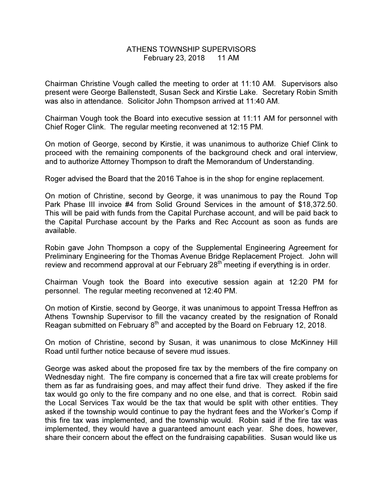## ATHENS TOWNSHIP SUPERVISORS February 23, 2018 11 AM

Chairman Christine Vough called the meeting to order at 11:10 AM. Supervisors also present were George Ballenstedt, Susan Seck and Kirstie Lake. Secretary Robin Smith was also in attendance. Solicitor John Thompson arrived at 11:40 AM.

Chairman Vough took the Board into executive session at 11:11 AM for personnel with Chief Roger Clink. The regular meeting reconvened at 12:15 PM.

On motion of George, second by Kirstie, it was unanimous to authorize Chief Clink to proceed with the remaining components of the background check and oral interview, and to authorize Attorney Thompson to draft the Memorandum of Understanding.

Roger advised the Board that the 2016 Tahoe is in the shop for engine replacement.

On motion of Christine, second by George, it was unanimous to pay the Round Top Park Phase III invoice #4 from Solid Ground Services in the amount of \$18,372.50. This will be paid with funds from the Capital Purchase account, and will be paid back to the Capital Purchase account by the Parks and Rec Account as soon as funds are available.

Robin gave John Thompson a copy of the Supplemental Engineering Agreement for Preliminary Engineering for the Thomas Avenue Bridge Replacement Project. John will review and recommend approval at our February  $28<sup>th</sup>$  meeting if everything is in order.

Chairman Vough took the Board into executive session again at 12:20 PM for personnel. The regular meeting reconvened at 12:40 PM.

On motion of Kirstie, second by George, it was unanimous to appoint Tressa Heffron as Athens Township Supervisor to fill the vacancy created by the resignation of Ronald Reagan submitted on February 8<sup>th</sup> and accepted by the Board on February 12, 2018.

On motion of Christine, second by Susan, it was unanimous to close McKinney Hill Road until further notice because of severe mud issues.

George was asked about the proposed fire tax by the members of the fire company on Wednesday night. The fire company is concerned that a fire tax will create problems for them as far as fundraising goes, and may affect their fund drive. They asked if the fire tax would go only to the fire company and no one else, and that is correct. Robin said the Local Services Tax would be the tax that would be split with other entities. They asked if the township would continue to pay the hydrant fees and the Worker's Comp if this fire tax was implemented, and the township would. Robin said if the fire tax was implemented, they would have a guaranteed amount each year. She does, however, share their concern about the effect on the fundraising capabilities. Susan would like us